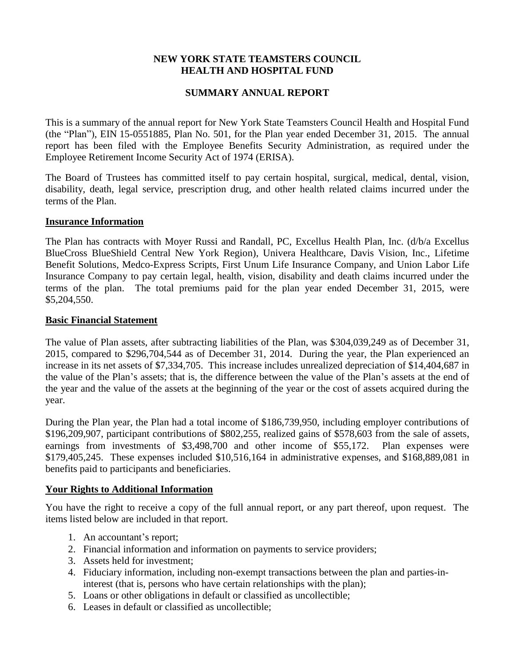## **NEW YORK STATE TEAMSTERS COUNCIL HEALTH AND HOSPITAL FUND**

# **SUMMARY ANNUAL REPORT**

This is a summary of the annual report for New York State Teamsters Council Health and Hospital Fund (the "Plan"), EIN 15-0551885, Plan No. 501, for the Plan year ended December 31, 2015. The annual report has been filed with the Employee Benefits Security Administration, as required under the Employee Retirement Income Security Act of 1974 (ERISA).

The Board of Trustees has committed itself to pay certain hospital, surgical, medical, dental, vision, disability, death, legal service, prescription drug, and other health related claims incurred under the terms of the Plan.

#### **Insurance Information**

The Plan has contracts with Moyer Russi and Randall, PC, Excellus Health Plan, Inc. (d/b/a Excellus BlueCross BlueShield Central New York Region), Univera Healthcare, Davis Vision, Inc., Lifetime Benefit Solutions, Medco-Express Scripts, First Unum Life Insurance Company, and Union Labor Life Insurance Company to pay certain legal, health, vision, disability and death claims incurred under the terms of the plan. The total premiums paid for the plan year ended December 31, 2015, were \$5,204,550.

#### **Basic Financial Statement**

The value of Plan assets, after subtracting liabilities of the Plan, was \$304,039,249 as of December 31, 2015, compared to \$296,704,544 as of December 31, 2014. During the year, the Plan experienced an increase in its net assets of \$7,334,705. This increase includes unrealized depreciation of \$14,404,687 in the value of the Plan's assets; that is, the difference between the value of the Plan's assets at the end of the year and the value of the assets at the beginning of the year or the cost of assets acquired during the year.

During the Plan year, the Plan had a total income of \$186,739,950, including employer contributions of \$196,209,907, participant contributions of \$802,255, realized gains of \$578,603 from the sale of assets, earnings from investments of \$3,498,700 and other income of \$55,172. Plan expenses were \$179,405,245. These expenses included \$10,516,164 in administrative expenses, and \$168,889,081 in benefits paid to participants and beneficiaries.

### **Your Rights to Additional Information**

You have the right to receive a copy of the full annual report, or any part thereof, upon request. The items listed below are included in that report.

- 1. An accountant's report;
- 2. Financial information and information on payments to service providers;
- 3. Assets held for investment;
- 4. Fiduciary information, including non-exempt transactions between the plan and parties-ininterest (that is, persons who have certain relationships with the plan);
- 5. Loans or other obligations in default or classified as uncollectible;
- 6. Leases in default or classified as uncollectible;